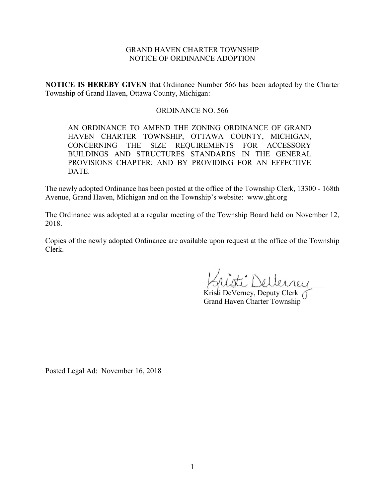# GRAND HAVEN CHARTER TOWNSHIP NOTICE OF ORDINANCE ADOPTION

**NOTICE IS HEREBY GIVEN** that Ordinance Number 566 has been adopted by the Charter Township of Grand Haven, Ottawa County, Michigan:

## ORDINANCE NO. 566

AN ORDINANCE TO AMEND THE ZONING ORDINANCE OF GRAND HAVEN CHARTER TOWNSHIP, OTTAWA COUNTY, MICHIGAN, CONCERNING THE SIZE REQUIREMENTS FOR ACCESSORY BUILDINGS AND STRUCTURES STANDARDS IN THE GENERAL PROVISIONS CHAPTER; AND BY PROVIDING FOR AN EFFECTIVE DATE.

The newly adopted Ordinance has been posted at the office of the Township Clerk, 13300 - 168th Avenue, Grand Haven, Michigan and on the Township's website: www.ght.org

The Ordinance was adopted at a regular meeting of the Township Board held on November 12, 2018.

Copies of the newly adopted Ordinance are available upon request at the office of the Township Clerk.

\_\_\_\_\_\_\_\_\_\_\_\_\_\_\_\_\_\_\_\_\_\_\_\_\_\_\_\_\_\_\_\_

Kristi DeVerney, Deputy Clerk Grand Haven Charter Township

Posted Legal Ad: November 16, 2018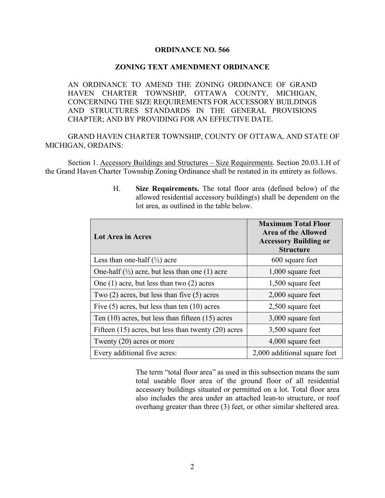#### **ORDINANCE NO. 566**

#### **ZONING TEXT AMENDMENT ORDINANCE**

AN ORDINANCE TO AMEND THE ZONING ORDINANCE OF GRAND HAVEN CHARTER TOWNSHIP, OTTAWA COUNTY, MICHIGAN, CONCERNING THE SIZE REQUIREMENTS FOR ACCESSORY BUILDINGS AND STRUCTURES STANDARDS IN THE GENERAL PROVISIONS CHAPTER; AND BY PROVIDING FOR AN EFFECTIVE DATE.

GRAND HAVEN CHARTER TOWNSHIP, COUNTY OF OTTAWA, AND STATE OF MICHIGAN, ORDAINS:

Section 1. Accessory Buildings and Structures – Size Requirements. Section 20.03.1.H of the Grand Haven Charter Township Zoning Ordinance shall be restated in its entirety as follows.

| Lot Area in Acres                                                    | <b>Maximum Total Floor</b><br>Area of the Allowed<br><b>Accessory Building or</b><br><b>Structure</b> |
|----------------------------------------------------------------------|-------------------------------------------------------------------------------------------------------|
| Less than one-half $(\frac{1}{2})$ acre                              | 600 square feet                                                                                       |
| One-half $\left(\frac{1}{2}\right)$ acre, but less than one (1) acre | $1,000$ square feet                                                                                   |
| One $(1)$ acre, but less than two $(2)$ acres                        | 1,500 square feet                                                                                     |
| Two $(2)$ acres, but less than five $(5)$ acres                      | $2,000$ square feet                                                                                   |
| Five $(5)$ acres, but less than ten $(10)$ acres                     | 2,500 square feet                                                                                     |
| Ten $(10)$ acres, but less than fifteen $(15)$ acres                 | 3,000 square feet                                                                                     |
| Fifteen $(15)$ acres, but less than twenty $(20)$ acres              | 3,500 square feet                                                                                     |
| Twenty $(20)$ acres or more                                          | 4,000 square feet                                                                                     |
| Every additional five acres:                                         | 2,000 additional square feet                                                                          |

H. **Size Requirements.** The total floor area (defined below) of the allowed residential accessory building(s) shall be dependent on the lot area, as outlined in the table below.

The term "total floor area" as used in this subsection means the sum total useable floor area of the ground floor of all residential accessory buildings situated or permitted on a lot. Total floor area also includes the area under an attached lean-to structure, or roof overhang greater than three (3) feet, or other similar sheltered area.